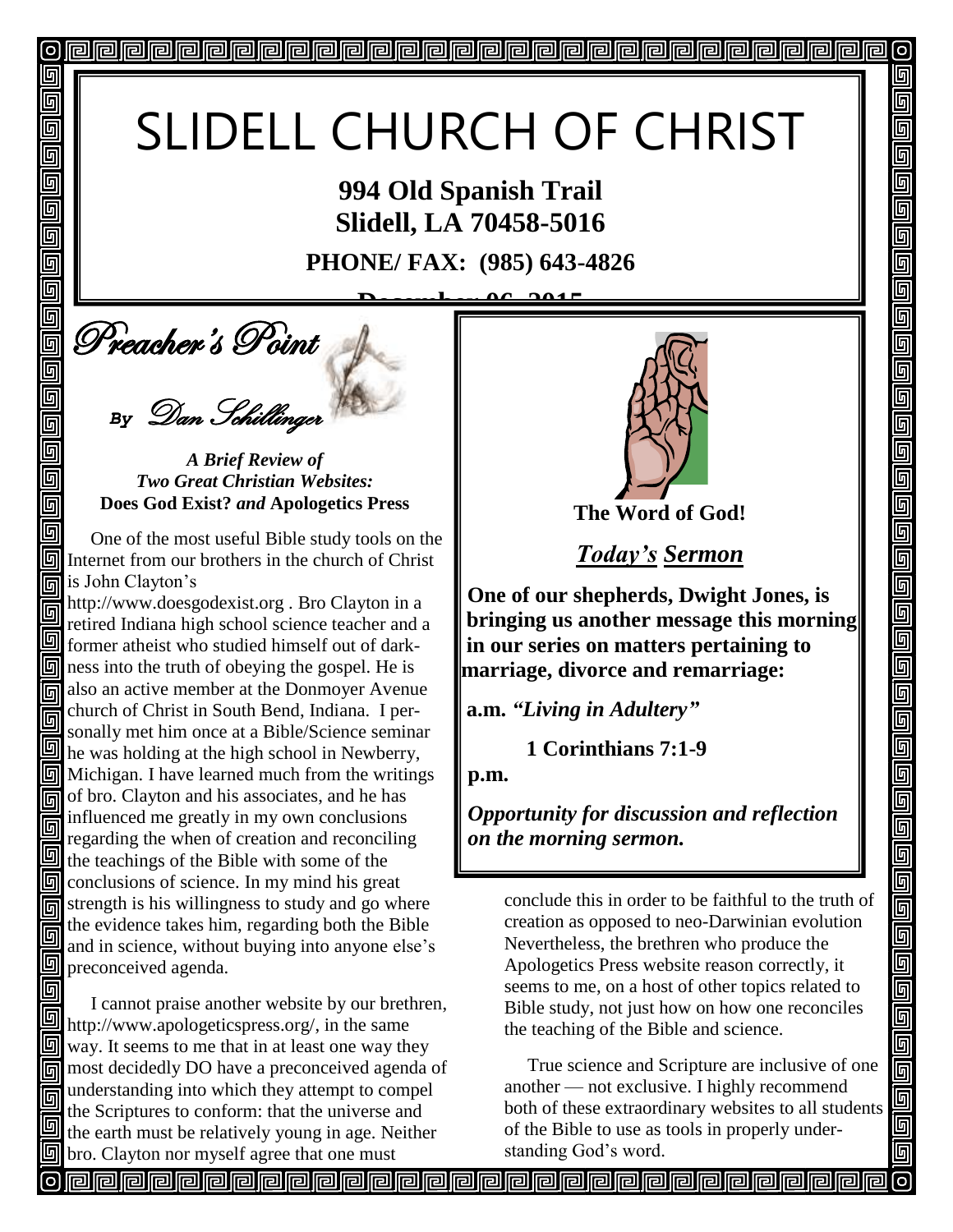# SLIDELL CHURCH OF CHRIST

**994 Old Spanish Trail Slidell, LA 70458-5016**

**PHONE/ FAX: (985) 643-4826**

 $\stackrel{\text{\tiny def}}{=}$  Preacher's Point **December 06, 2015**

回

回 回 同 回 回 回

回

回

回 回 回 回

回 同

回

*By* Dan Schillinger

*A Brief Review of Two Great Christian Websites:* **Does God Exist?** *and* **Apologetics Press**

 One of the most useful Bible study tools on the **同** Internet from our brothers in the church of Christ is John Clayton's

http://www.doesgodexist.org . Bro Clayton in a retired Indiana high school science teacher and a former atheist who studied himself out of dark- $\boxed{9}$  ness into the truth of obeying the gospel. He is also an active member at the Donmoyer Avenue church of Christ in South Bend, Indiana. I per-同 sonally met him once at a Bible/Science seminar he was holding at the high school in Newberry,  $\boxed{9}$  Michigan. I have learned much from the writings of bro. Clayton and his associates, and he has influenced me greatly in my own conclusions 同 regarding the when of creation and reconciling  $\mathbf{u}$  the teachings of the Bible with some of the **n** conclusions of science. In my mind his great  $\overline{5}$  strength is his willingness to study and go where the evidence takes him, regarding both the Bible 回 and in science, without buying into anyone else's **g** preconceived agenda.

 I cannot praise another website by our brethren, http://www.apologeticspress.org/, in the same  $\boxed{9}$  way. It seems to me that in at least one way they most decidedly DO have a preconceived agenda of understanding into which they attempt to compel 同 the Scriptures to conform: that the universe and the earth must be relatively young in age. Neither  $\mathbb{F}$  bro. Clayton nor myself agree that one must



 $\sigma$ 

回

呵

5

5

回 5 5 <u>同</u>  $\Box$ 回

5 回

回

回回回

<u>ele</u>

 $\blacksquare$ 

<u>ele</u>

画 Ō<br>O

 $\blacksquare$ 回

**The Word of God!**

*Today's Sermon*

**One of our shepherds, Dwight Jones, is bringing us another message this morning in our series on matters pertaining to marriage, divorce and remarriage:**

**a.m.** *"Living in Adultery"*

 **1 Corinthians 7:1-9**

**p.m.**

*Opportunity for discussion and reflection on the morning sermon.* 

conclude this in order to be faithful to the truth of creation as opposed to neo-Darwinian evolution Nevertheless, the brethren who produce the Apologetics Press website reason correctly, it seems to me, on a host of other topics related to Bible study, not just how on how one reconciles the teaching of the Bible and science.

 True science and Scripture are inclusive of one another — not exclusive. I highly recommend both of these extraordinary websites to all students of the Bible to use as tools in properly understanding God's word.

**PPPPPPPPPPPPPPPPPPP**PPPPPPP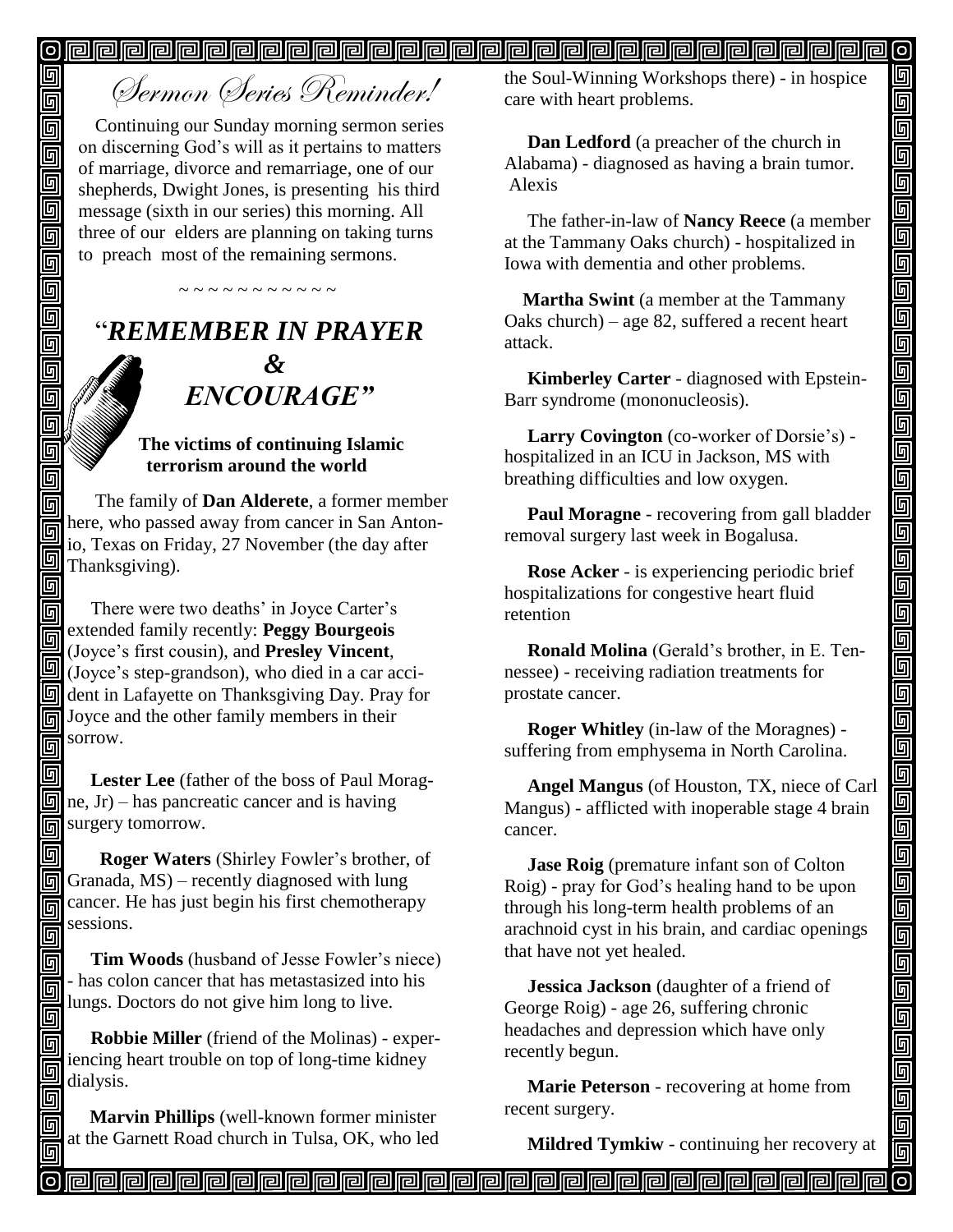# <u>o pada pada ata ang pagkatang pagkatang pagkatang pagkatang pagkatang pagkatang pagkatang pagkatang pagkatang </u>

# Sermon Series Reminder!

回

回

同  $\overline{\overline{\mathsf{g}}}$ 

Ō  $\overline{\mathsf{G}}$ 靣 回 回 回  $\Box$ 回 回 回 靣 回 同 同

回

同

同 回 回

回 同 同 回

Continuing our Sunday morning sermon series on discerning God's will as it pertains to matters of marriage, divorce and remarriage, one of our shepherds, Dwight Jones, is presenting his third message (sixth in our series) this morning. All three of our elders are planning on taking turns to preach most of the remaining sermons.

# "*REMEMBER IN PRAYER &* " *ENCOURAGE"*

~ ~ ~ ~ ~ ~ ~ ~ ~ ~

#### **The victims of continuing Islamic terrorism around the world**

The family of **Dan Alderete**, a former member here, who passed away from cancer in San Antonio, Texas on Friday, 27 November (the day after Thanksgiving).

回 There were two deaths' in Joyce Carter's extended family recently: **Peggy Bourgeois** 回 (Joyce's first cousin), and **Presley Vincent**,  $\Box$  (Joyce's more comparison), who died in a car acci**d** dent in Lafayette on Thanksgiving Day. Pray for **Joyce and the other family members in their** sorrow. 同

回  **Lester Lee** (father of the boss of Paul Morag- $\mathbb{F}$  ne, Jr) – has pancreatic cancer and is having surgery tomorrow.

回  **Roger Waters** (Shirley Fowler's brother, of  $\boxed{5}$  Granada, MS) – recently diagnosed with lung cancer. He has just begin his first chemotherapy sessions. 回

 **Tim Woods** (husband of Jesse Fowler's niece) - has colon cancer that has metastasized into his lungs. Doctors do not give him long to live.

 **Robbie Miller** (friend of the Molinas) - experiencing heart trouble on top of long-time kidney dialysis.

 **Marvin Phillips** (well-known former minister at the Garnett Road church in Tulsa, OK, who led the Soul-Winning Workshops there) - in hospice care with heart problems.

 **Dan Ledford** (a preacher of the church in Alabama) - diagnosed as having a brain tumor. Alexis

 The father-in-law of **Nancy Reece** (a member at the Tammany Oaks church) - hospitalized in Iowa with dementia and other problems.

 **Martha Swint** (a member at the Tammany Oaks church) – age 82, suffered a recent heart attack.

 **Kimberley Carter** - diagnosed with Epstein-Barr syndrome (mononucleosis).

 **Larry Covington** (co-worker of Dorsie's) hospitalized in an ICU in Jackson, MS with breathing difficulties and low oxygen.

 **Paul Moragne** - recovering from gall bladder removal surgery last week in Bogalusa.

 **Rose Acker** - is experiencing periodic brief hospitalizations for congestive heart fluid retention

 **Ronald Molina** (Gerald's brother, in E. Tennessee) - receiving radiation treatments for prostate cancer.

 **Roger Whitley** (in-law of the Moragnes) suffering from emphysema in North Carolina.

 **Angel Mangus** (of Houston, TX, niece of Carl Mangus) - afflicted with inoperable stage 4 brain cancer.

 **Jase Roig** (premature infant son of Colton Roig) - pray for God's healing hand to be upon through his long-term health problems of an arachnoid cyst in his brain, and cardiac openings that have not yet healed.

 **Jessica Jackson** (daughter of a friend of George Roig) - age 26, suffering chronic headaches and depression which have only recently begun.

 **Marie Peterson** - recovering at home from recent surgery.

**Mildred Tymkiw** - continuing her recovery at

[ට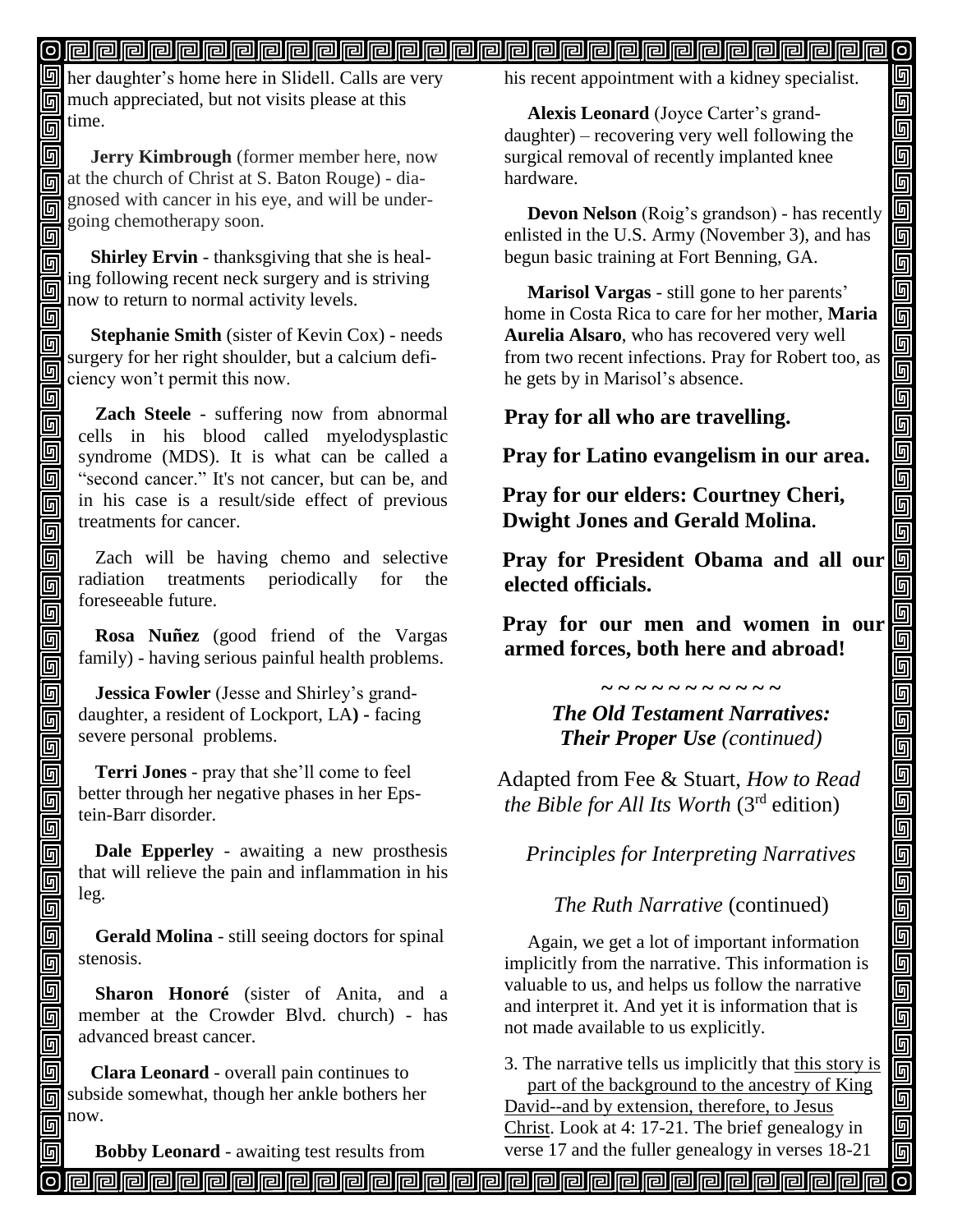**her daughter's home here in Slidell. Calls are very** much appreciated, but not visits please at this  $\vec{p}$  time.

同  **Jerry Kimbrough** (former member here, now at the church of Christ at S. Baton Rouge) - diagnosed with cancer in his eye, and will be undergoing chemotherapy soon. 回 ĺ

同

回 回 回 面 回 回 同 同

回 回 回 回 画

回 同 回 回 靣 回 回 回 回

回 同 回

回 靣

回

同

回

 **Shirley Ervin** - thanksgiving that she is heal-П ing following recent neck surgery and is striving 回 now to return to normal activity levels. 回

 **Stephanie Smith** (sister of Kevin Cox) - needs surgery for her right shoulder, but a calcium deficiency won't permit this now.

**Zach Steele** - suffering now from abnormal cells in his blood called myelodysplastic syndrome (MDS). It is what can be called a "second cancer." It's not cancer, but can be, and in his case is a result/side effect of previous treatments for cancer.

Zach will be having chemo and selective radiation treatments periodically for the foreseeable future.

**Rosa Nuñez** (good friend of the Vargas family) - having serious painful health problems.

**Jessica Fowler** (Jesse and Shirley's granddaughter, a resident of Lockport, LA**) -** facing severe personal problems.

**Terri Jones** - pray that she'll come to feel better through her negative phases in her Epstein-Barr disorder.

**Dale Epperley** - awaiting a new prosthesis that will relieve the pain and inflammation in his leg.

**Gerald Molina** - still seeing doctors for spinal stenosis.

**Sharon Honoré** (sister of Anita, and a member at the Crowder Blvd. church) - has advanced breast cancer.

 **Clara Leonard** - overall pain continues to subside somewhat, though her ankle bothers her now.

 **Bobby Leonard** - awaiting test results from

his recent appointment with a kidney specialist.

回 回 画

画

d<br>90

<u>gga</u>

00000000

800000

واواواواواواواواوا

ud al

<u>s g g</u>

io<br>Die

 $\blacksquare$ 

靣

 **Alexis Leonard** (Joyce Carter's granddaughter) – recovering very well following the surgical removal of recently implanted knee hardware.

 **Devon Nelson** (Roig's grandson) - has recently enlisted in the U.S. Army (November 3), and has begun basic training at Fort Benning, GA.

 **Marisol Vargas** - still gone to her parents' home in Costa Rica to care for her mother, **Maria Aurelia Alsaro**, who has recovered very well from two recent infections. Pray for Robert too, as he gets by in Marisol's absence.

**Pray for all who are travelling.**

**Pray for Latino evangelism in our area.**

**Pray for our elders: Courtney Cheri, Dwight Jones and Gerald Molina.**

**Pray for President Obama and all our elected officials.**

**Pray for our men and women in our armed forces, both here and abroad!**

> *The Old Testament Narratives: Their Proper Use (continued)*

**~ ~ ~ ~ ~ ~ ~ ~ ~ ~ ~**

Adapted from Fee & Stuart, *How to Read the Bible for All Its Worth* (3rd edition)

*Principles for Interpreting Narratives*

*The Ruth Narrative* (continued)

 Again, we get a lot of important information implicitly from the narrative. This information is valuable to us, and helps us follow the narrative and interpret it. And yet it is information that is not made available to us explicitly.

3. The narrative tells us implicitly that this story is part of the background to the ancestry of King David--and by extension, therefore, to Jesus Christ. Look at 4: 17-21. The brief genealogy in verse 17 and the fuller genealogy in verses 18-21

வ